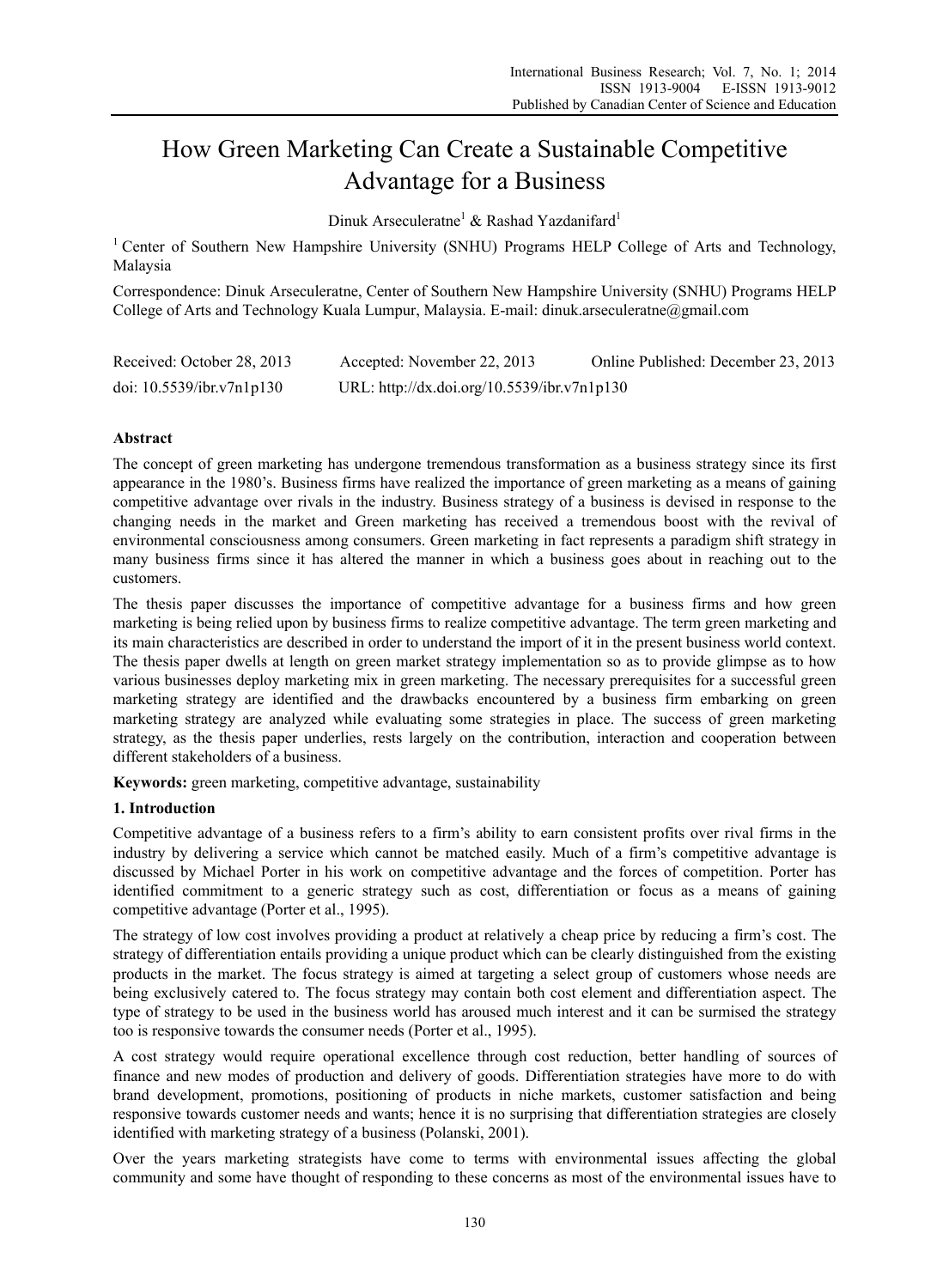# How Green Marketing Can Create a Sustainable Competitive Advantage for a Business

Dinuk Arseculeratne<sup>1</sup> & Rashad Yazdanifard<sup>1</sup>

<sup>1</sup> Center of Southern New Hampshire University (SNHU) Programs HELP College of Arts and Technology, Malaysia

Correspondence: Dinuk Arseculeratne, Center of Southern New Hampshire University (SNHU) Programs HELP College of Arts and Technology Kuala Lumpur, Malaysia. E-mail: dinuk.arseculeratne@gmail.com

| Received: October 28, 2013   | Accepted: November 22, 2013                 | Online Published: December 23, 2013 |
|------------------------------|---------------------------------------------|-------------------------------------|
| doi: $10.5539$ /ibr.v7n1p130 | URL: http://dx.doi.org/10.5539/ibr.v7n1p130 |                                     |

## **Abstract**

The concept of green marketing has undergone tremendous transformation as a business strategy since its first appearance in the 1980's. Business firms have realized the importance of green marketing as a means of gaining competitive advantage over rivals in the industry. Business strategy of a business is devised in response to the changing needs in the market and Green marketing has received a tremendous boost with the revival of environmental consciousness among consumers. Green marketing in fact represents a paradigm shift strategy in many business firms since it has altered the manner in which a business goes about in reaching out to the customers.

The thesis paper discusses the importance of competitive advantage for a business firms and how green marketing is being relied upon by business firms to realize competitive advantage. The term green marketing and its main characteristics are described in order to understand the import of it in the present business world context. The thesis paper dwells at length on green market strategy implementation so as to provide glimpse as to how various businesses deploy marketing mix in green marketing. The necessary prerequisites for a successful green marketing strategy are identified and the drawbacks encountered by a business firm embarking on green marketing strategy are analyzed while evaluating some strategies in place. The success of green marketing strategy, as the thesis paper underlies, rests largely on the contribution, interaction and cooperation between different stakeholders of a business.

**Keywords:** green marketing, competitive advantage, sustainability

### **1. Introduction**

Competitive advantage of a business refers to a firm's ability to earn consistent profits over rival firms in the industry by delivering a service which cannot be matched easily. Much of a firm's competitive advantage is discussed by Michael Porter in his work on competitive advantage and the forces of competition. Porter has identified commitment to a generic strategy such as cost, differentiation or focus as a means of gaining competitive advantage (Porter et al., 1995).

The strategy of low cost involves providing a product at relatively a cheap price by reducing a firm's cost. The strategy of differentiation entails providing a unique product which can be clearly distinguished from the existing products in the market. The focus strategy is aimed at targeting a select group of customers whose needs are being exclusively catered to. The focus strategy may contain both cost element and differentiation aspect. The type of strategy to be used in the business world has aroused much interest and it can be surmised the strategy too is responsive towards the consumer needs (Porter et al., 1995).

A cost strategy would require operational excellence through cost reduction, better handling of sources of finance and new modes of production and delivery of goods. Differentiation strategies have more to do with brand development, promotions, positioning of products in niche markets, customer satisfaction and being responsive towards customer needs and wants; hence it is no surprising that differentiation strategies are closely identified with marketing strategy of a business (Polanski, 2001).

Over the years marketing strategists have come to terms with environmental issues affecting the global community and some have thought of responding to these concerns as most of the environmental issues have to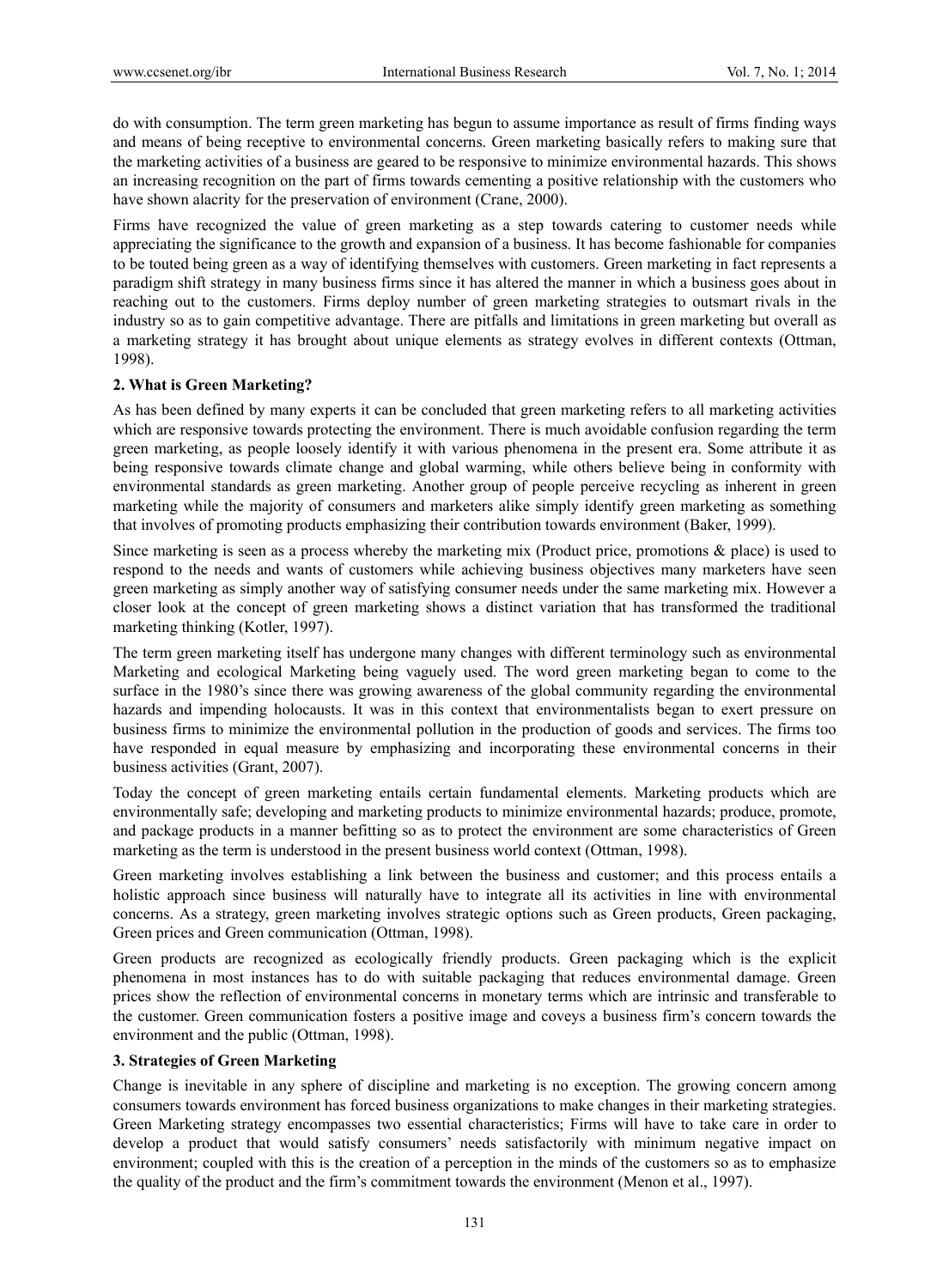do with consumption. The term green marketing has begun to assume importance as result of firms finding ways and means of being receptive to environmental concerns. Green marketing basically refers to making sure that the marketing activities of a business are geared to be responsive to minimize environmental hazards. This shows an increasing recognition on the part of firms towards cementing a positive relationship with the customers who have shown alacrity for the preservation of environment (Crane, 2000).

Firms have recognized the value of green marketing as a step towards catering to customer needs while appreciating the significance to the growth and expansion of a business. It has become fashionable for companies to be touted being green as a way of identifying themselves with customers. Green marketing in fact represents a paradigm shift strategy in many business firms since it has altered the manner in which a business goes about in reaching out to the customers. Firms deploy number of green marketing strategies to outsmart rivals in the industry so as to gain competitive advantage. There are pitfalls and limitations in green marketing but overall as a marketing strategy it has brought about unique elements as strategy evolves in different contexts (Ottman, 1998).

## **2. What is Green Marketing?**

As has been defined by many experts it can be concluded that green marketing refers to all marketing activities which are responsive towards protecting the environment. There is much avoidable confusion regarding the term green marketing, as people loosely identify it with various phenomena in the present era. Some attribute it as being responsive towards climate change and global warming, while others believe being in conformity with environmental standards as green marketing. Another group of people perceive recycling as inherent in green marketing while the majority of consumers and marketers alike simply identify green marketing as something that involves of promoting products emphasizing their contribution towards environment (Baker, 1999).

Since marketing is seen as a process whereby the marketing mix (Product price, promotions & place) is used to respond to the needs and wants of customers while achieving business objectives many marketers have seen green marketing as simply another way of satisfying consumer needs under the same marketing mix. However a closer look at the concept of green marketing shows a distinct variation that has transformed the traditional marketing thinking (Kotler, 1997).

The term green marketing itself has undergone many changes with different terminology such as environmental Marketing and ecological Marketing being vaguely used. The word green marketing began to come to the surface in the 1980's since there was growing awareness of the global community regarding the environmental hazards and impending holocausts. It was in this context that environmentalists began to exert pressure on business firms to minimize the environmental pollution in the production of goods and services. The firms too have responded in equal measure by emphasizing and incorporating these environmental concerns in their business activities (Grant, 2007).

Today the concept of green marketing entails certain fundamental elements. Marketing products which are environmentally safe; developing and marketing products to minimize environmental hazards; produce, promote, and package products in a manner befitting so as to protect the environment are some characteristics of Green marketing as the term is understood in the present business world context (Ottman, 1998).

Green marketing involves establishing a link between the business and customer; and this process entails a holistic approach since business will naturally have to integrate all its activities in line with environmental concerns. As a strategy, green marketing involves strategic options such as Green products, Green packaging, Green prices and Green communication (Ottman, 1998).

Green products are recognized as ecologically friendly products. Green packaging which is the explicit phenomena in most instances has to do with suitable packaging that reduces environmental damage. Green prices show the reflection of environmental concerns in monetary terms which are intrinsic and transferable to the customer. Green communication fosters a positive image and coveys a business firm's concern towards the environment and the public (Ottman, 1998).

## **3. Strategies of Green Marketing**

Change is inevitable in any sphere of discipline and marketing is no exception. The growing concern among consumers towards environment has forced business organizations to make changes in their marketing strategies. Green Marketing strategy encompasses two essential characteristics; Firms will have to take care in order to develop a product that would satisfy consumers' needs satisfactorily with minimum negative impact on environment; coupled with this is the creation of a perception in the minds of the customers so as to emphasize the quality of the product and the firm's commitment towards the environment (Menon et al., 1997).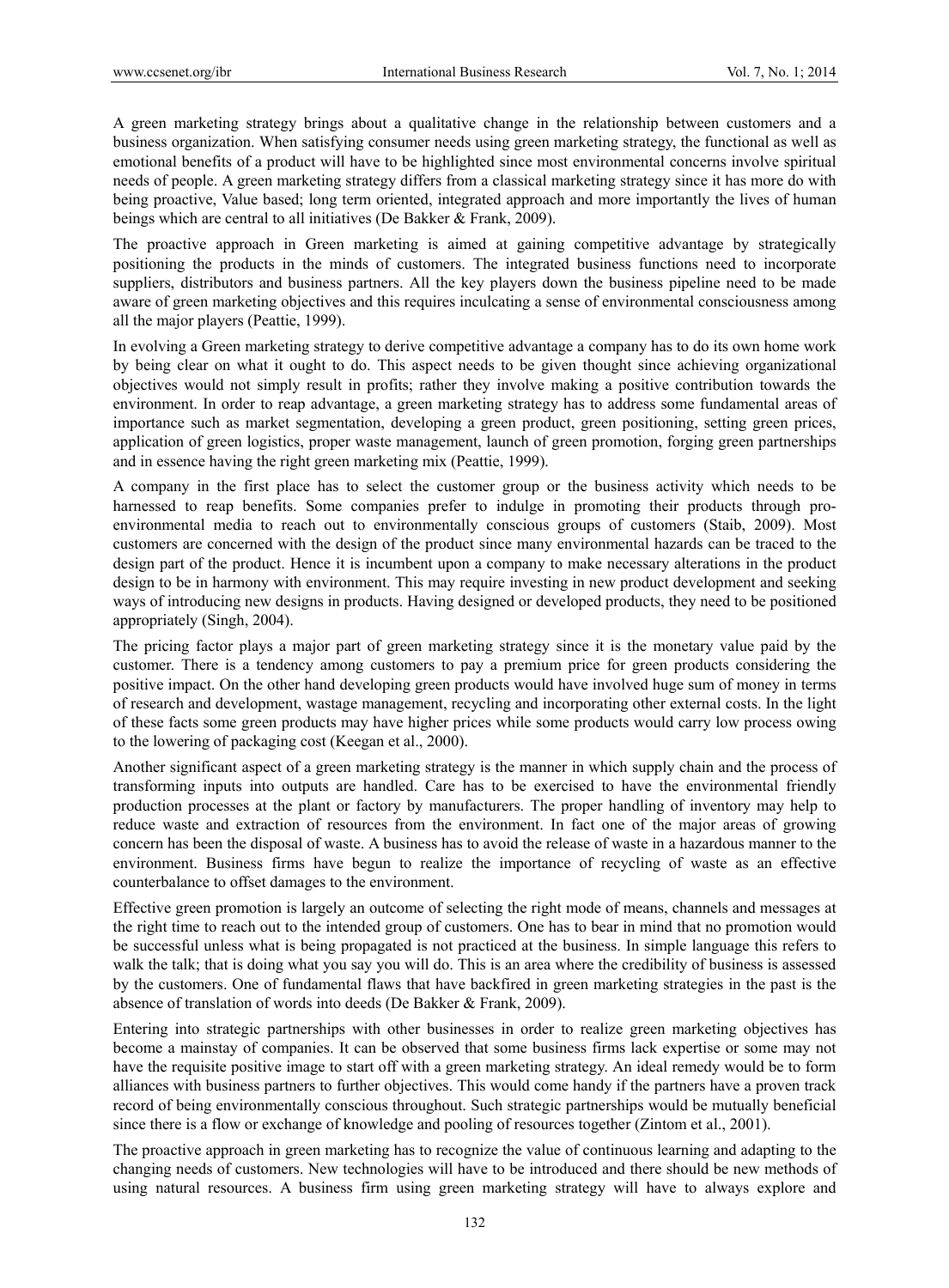A green marketing strategy brings about a qualitative change in the relationship between customers and a business organization. When satisfying consumer needs using green marketing strategy, the functional as well as emotional benefits of a product will have to be highlighted since most environmental concerns involve spiritual needs of people. A green marketing strategy differs from a classical marketing strategy since it has more do with being proactive, Value based; long term oriented, integrated approach and more importantly the lives of human beings which are central to all initiatives (De Bakker & Frank, 2009).

The proactive approach in Green marketing is aimed at gaining competitive advantage by strategically positioning the products in the minds of customers. The integrated business functions need to incorporate suppliers, distributors and business partners. All the key players down the business pipeline need to be made aware of green marketing objectives and this requires inculcating a sense of environmental consciousness among all the major players (Peattie, 1999).

In evolving a Green marketing strategy to derive competitive advantage a company has to do its own home work by being clear on what it ought to do. This aspect needs to be given thought since achieving organizational objectives would not simply result in profits; rather they involve making a positive contribution towards the environment. In order to reap advantage, a green marketing strategy has to address some fundamental areas of importance such as market segmentation, developing a green product, green positioning, setting green prices, application of green logistics, proper waste management, launch of green promotion, forging green partnerships and in essence having the right green marketing mix (Peattie, 1999).

A company in the first place has to select the customer group or the business activity which needs to be harnessed to reap benefits. Some companies prefer to indulge in promoting their products through proenvironmental media to reach out to environmentally conscious groups of customers (Staib, 2009). Most customers are concerned with the design of the product since many environmental hazards can be traced to the design part of the product. Hence it is incumbent upon a company to make necessary alterations in the product design to be in harmony with environment. This may require investing in new product development and seeking ways of introducing new designs in products. Having designed or developed products, they need to be positioned appropriately (Singh, 2004).

The pricing factor plays a major part of green marketing strategy since it is the monetary value paid by the customer. There is a tendency among customers to pay a premium price for green products considering the positive impact. On the other hand developing green products would have involved huge sum of money in terms of research and development, wastage management, recycling and incorporating other external costs. In the light of these facts some green products may have higher prices while some products would carry low process owing to the lowering of packaging cost (Keegan et al., 2000).

Another significant aspect of a green marketing strategy is the manner in which supply chain and the process of transforming inputs into outputs are handled. Care has to be exercised to have the environmental friendly production processes at the plant or factory by manufacturers. The proper handling of inventory may help to reduce waste and extraction of resources from the environment. In fact one of the major areas of growing concern has been the disposal of waste. A business has to avoid the release of waste in a hazardous manner to the environment. Business firms have begun to realize the importance of recycling of waste as an effective counterbalance to offset damages to the environment.

Effective green promotion is largely an outcome of selecting the right mode of means, channels and messages at the right time to reach out to the intended group of customers. One has to bear in mind that no promotion would be successful unless what is being propagated is not practiced at the business. In simple language this refers to walk the talk; that is doing what you say you will do. This is an area where the credibility of business is assessed by the customers. One of fundamental flaws that have backfired in green marketing strategies in the past is the absence of translation of words into deeds (De Bakker & Frank, 2009).

Entering into strategic partnerships with other businesses in order to realize green marketing objectives has become a mainstay of companies. It can be observed that some business firms lack expertise or some may not have the requisite positive image to start off with a green marketing strategy. An ideal remedy would be to form alliances with business partners to further objectives. This would come handy if the partners have a proven track record of being environmentally conscious throughout. Such strategic partnerships would be mutually beneficial since there is a flow or exchange of knowledge and pooling of resources together (Zintom et al., 2001).

The proactive approach in green marketing has to recognize the value of continuous learning and adapting to the changing needs of customers. New technologies will have to be introduced and there should be new methods of using natural resources. A business firm using green marketing strategy will have to always explore and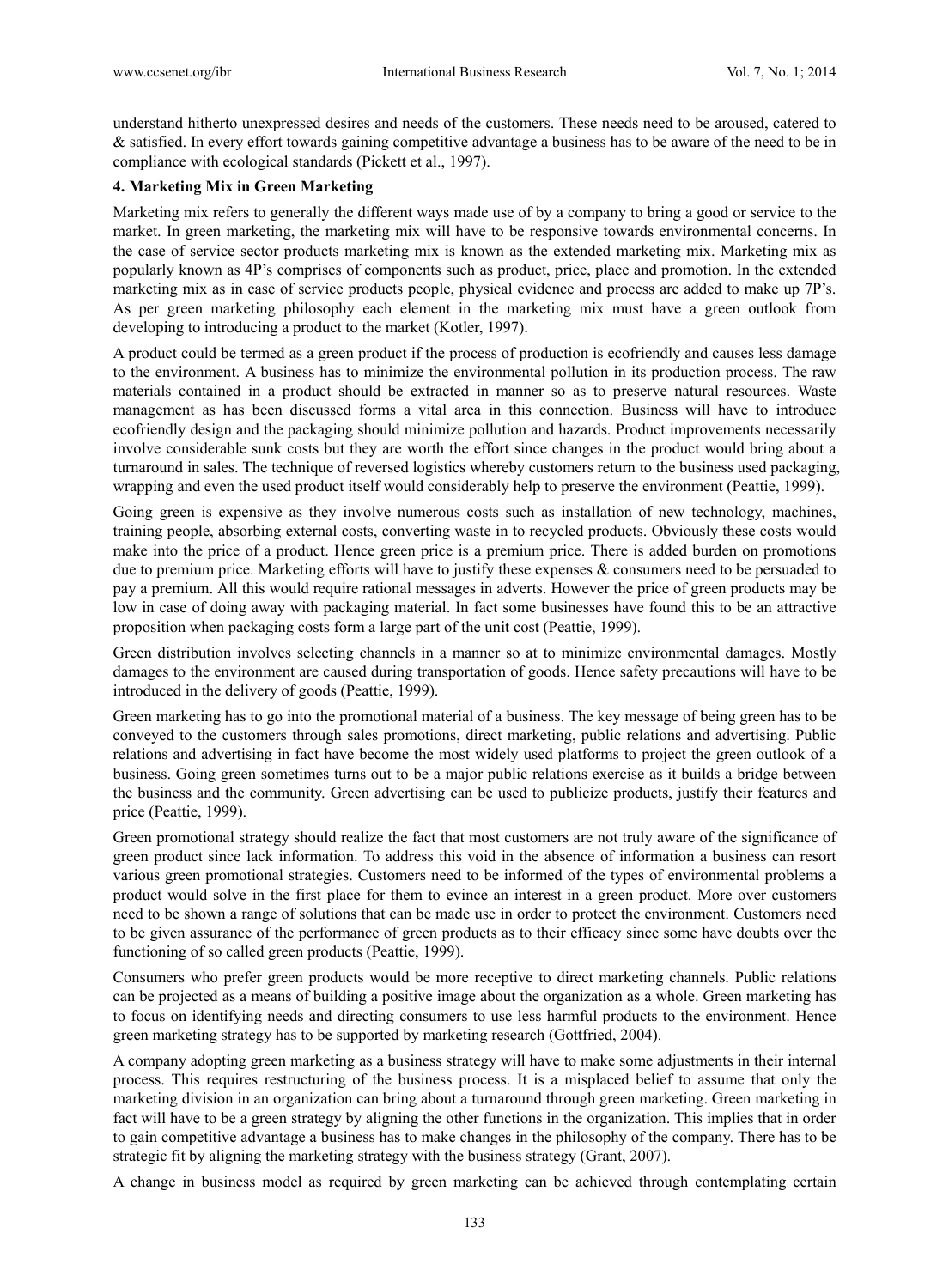understand hitherto unexpressed desires and needs of the customers. These needs need to be aroused, catered to & satisfied. In every effort towards gaining competitive advantage a business has to be aware of the need to be in compliance with ecological standards (Pickett et al., 1997).

## **4. Marketing Mix in Green Marketing**

Marketing mix refers to generally the different ways made use of by a company to bring a good or service to the market. In green marketing, the marketing mix will have to be responsive towards environmental concerns. In the case of service sector products marketing mix is known as the extended marketing mix. Marketing mix as popularly known as 4P's comprises of components such as product, price, place and promotion. In the extended marketing mix as in case of service products people, physical evidence and process are added to make up 7P's. As per green marketing philosophy each element in the marketing mix must have a green outlook from developing to introducing a product to the market (Kotler, 1997).

A product could be termed as a green product if the process of production is ecofriendly and causes less damage to the environment. A business has to minimize the environmental pollution in its production process. The raw materials contained in a product should be extracted in manner so as to preserve natural resources. Waste management as has been discussed forms a vital area in this connection. Business will have to introduce ecofriendly design and the packaging should minimize pollution and hazards. Product improvements necessarily involve considerable sunk costs but they are worth the effort since changes in the product would bring about a turnaround in sales. The technique of reversed logistics whereby customers return to the business used packaging, wrapping and even the used product itself would considerably help to preserve the environment (Peattie, 1999).

Going green is expensive as they involve numerous costs such as installation of new technology, machines, training people, absorbing external costs, converting waste in to recycled products. Obviously these costs would make into the price of a product. Hence green price is a premium price. There is added burden on promotions due to premium price. Marketing efforts will have to justify these expenses & consumers need to be persuaded to pay a premium. All this would require rational messages in adverts. However the price of green products may be low in case of doing away with packaging material. In fact some businesses have found this to be an attractive proposition when packaging costs form a large part of the unit cost (Peattie, 1999).

Green distribution involves selecting channels in a manner so at to minimize environmental damages. Mostly damages to the environment are caused during transportation of goods. Hence safety precautions will have to be introduced in the delivery of goods (Peattie, 1999).

Green marketing has to go into the promotional material of a business. The key message of being green has to be conveyed to the customers through sales promotions, direct marketing, public relations and advertising. Public relations and advertising in fact have become the most widely used platforms to project the green outlook of a business. Going green sometimes turns out to be a major public relations exercise as it builds a bridge between the business and the community. Green advertising can be used to publicize products, justify their features and price (Peattie, 1999).

Green promotional strategy should realize the fact that most customers are not truly aware of the significance of green product since lack information. To address this void in the absence of information a business can resort various green promotional strategies. Customers need to be informed of the types of environmental problems a product would solve in the first place for them to evince an interest in a green product. More over customers need to be shown a range of solutions that can be made use in order to protect the environment. Customers need to be given assurance of the performance of green products as to their efficacy since some have doubts over the functioning of so called green products (Peattie, 1999).

Consumers who prefer green products would be more receptive to direct marketing channels. Public relations can be projected as a means of building a positive image about the organization as a whole. Green marketing has to focus on identifying needs and directing consumers to use less harmful products to the environment. Hence green marketing strategy has to be supported by marketing research (Gottfried, 2004).

A company adopting green marketing as a business strategy will have to make some adjustments in their internal process. This requires restructuring of the business process. It is a misplaced belief to assume that only the marketing division in an organization can bring about a turnaround through green marketing. Green marketing in fact will have to be a green strategy by aligning the other functions in the organization. This implies that in order to gain competitive advantage a business has to make changes in the philosophy of the company. There has to be strategic fit by aligning the marketing strategy with the business strategy (Grant, 2007).

A change in business model as required by green marketing can be achieved through contemplating certain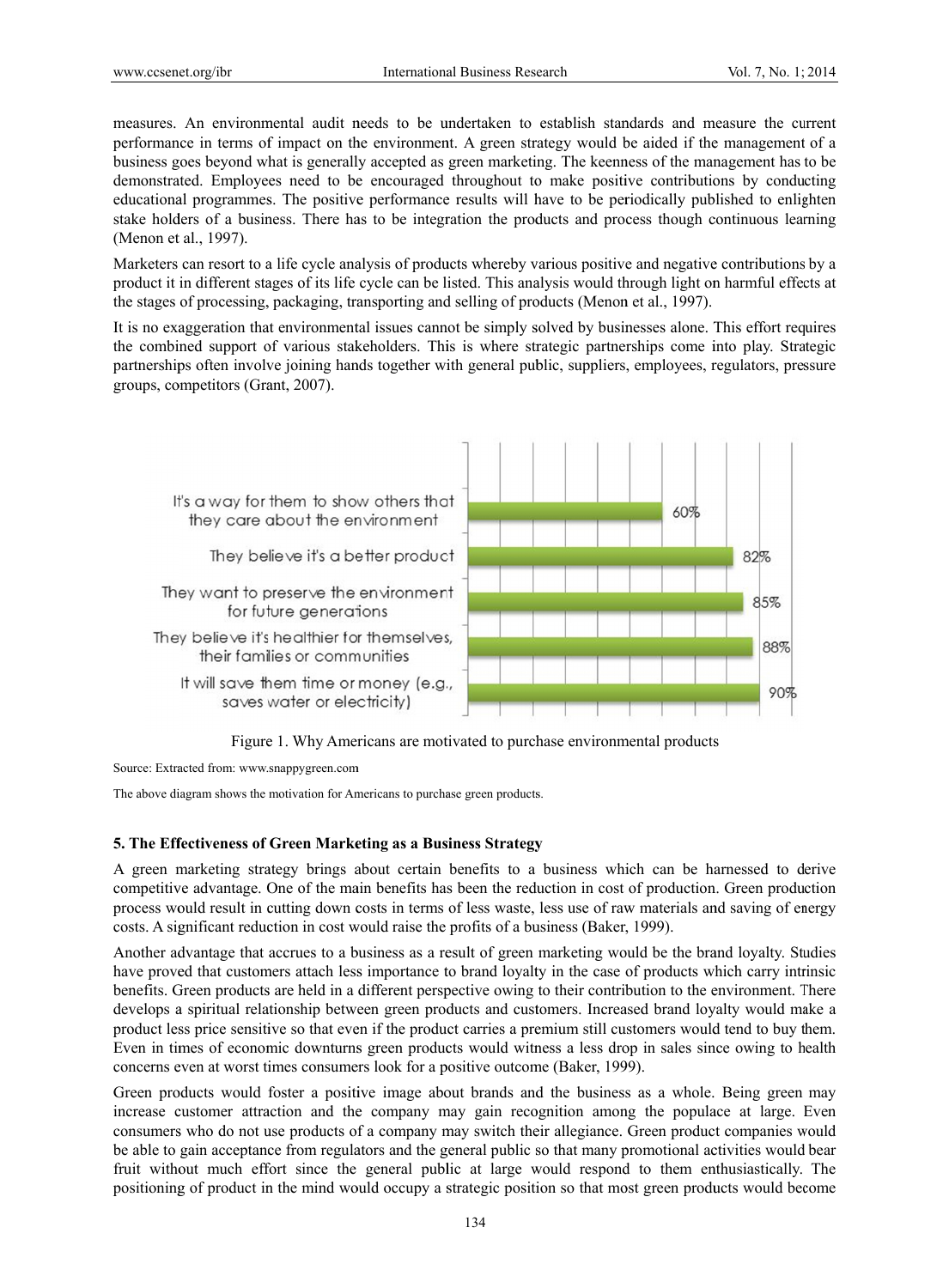measures. An environmental audit needs to be undertaken to establish standards and measure the current performance in terms of impact on the environment. A green strategy would be aided if the management of a business goes beyond what is generally accepted as green marketing. The keenness of the management has to be demonstrated. Employees need to be encouraged throughout to make positive contributions by conducting educational programmes. The positive performance results will have to be periodically published to enlighten stake holders of a business. There has to be integration the products and process though continuous learning (Menon et al., 1997).

Marketers can resort to a life cycle analysis of products whereby various positive and negative contributions by a product it in different stages of its life cycle can be listed. This analysis would through light on harmful effects at the stages of processing, packaging, transporting and selling of products (Menon et al., 1997).

It is no exaggeration that environmental issues cannot be simply solved by businesses alone. This effort requires the combined support of various stakeholders. This is where strategic partnerships come into play. Strategic partnerships often involve joining hands together with general public, suppliers, employees, regulators, pressure groups, competitors (Grant, 2007).





Source: Extracted from: www.snappygreen.com

Source: Extracted from: www.snappygreen.com<br>The above diagram shows the motivation for Americans to purchase green products.

### **5. The Effectiveness of Green Marketing as a Business Strategy**

A green marketing strategy brings about certain benefits to a business which can be harnessed to derive competitive advantage. One of the main benefits has been the reduction in cost of production. Green production process would result in cutting down costs in terms of less waste, less use of raw materials and saving of energy costs. A significant reduction in cost would raise the profits of a business (Baker, 1999). s<br>arnessed to d

Another advantage that accrues to a business as a result of green marketing would be the brand loyalty. Studies have proved that customers attach less importance to brand loyalty in the case of products which carry intrinsic benefits. Green products are held in a different perspective owing to their contribution to the environment. There develops a spiritual relationship between green products and customers. Increased brand loyalty would make a product less price sensitive so that even if the product carries a premium still customers would tend to buy them. Even in times of economic downturns green products would witness a less drop in sales since owing to health concerns even at worst times consumers look for a positive outcome (Baker, 1999).

Green products would foster a positive image about brands and the business as a whole. Being green may increase customer attraction and the company may gain recognition among the populace at large. Even consumers who do not use products of a company may switch their allegiance. Green product companies would be able to gain acceptance from regulators and the general public so that many promotional activities would bear fruit without much effort since the general public at large would respond to them enthusiastically. The positioning of product in the mind would occupy a strategic position so that most green products would become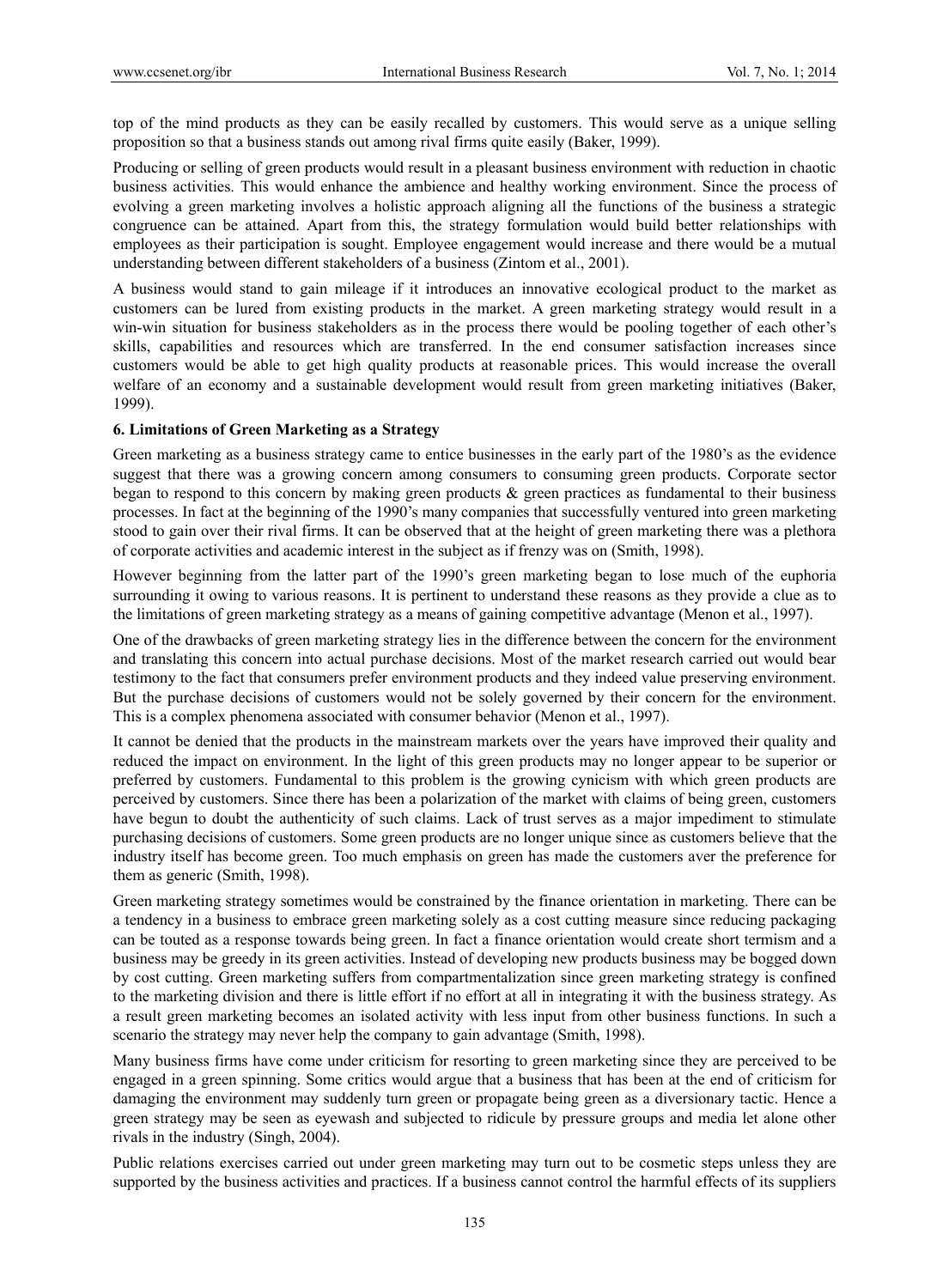top of the mind products as they can be easily recalled by customers. This would serve as a unique selling proposition so that a business stands out among rival firms quite easily (Baker, 1999).

Producing or selling of green products would result in a pleasant business environment with reduction in chaotic business activities. This would enhance the ambience and healthy working environment. Since the process of evolving a green marketing involves a holistic approach aligning all the functions of the business a strategic congruence can be attained. Apart from this, the strategy formulation would build better relationships with employees as their participation is sought. Employee engagement would increase and there would be a mutual understanding between different stakeholders of a business (Zintom et al., 2001).

A business would stand to gain mileage if it introduces an innovative ecological product to the market as customers can be lured from existing products in the market. A green marketing strategy would result in a win-win situation for business stakeholders as in the process there would be pooling together of each other's skills, capabilities and resources which are transferred. In the end consumer satisfaction increases since customers would be able to get high quality products at reasonable prices. This would increase the overall welfare of an economy and a sustainable development would result from green marketing initiatives (Baker, 1999).

## **6. Limitations of Green Marketing as a Strategy**

Green marketing as a business strategy came to entice businesses in the early part of the 1980's as the evidence suggest that there was a growing concern among consumers to consuming green products. Corporate sector began to respond to this concern by making green products  $\&$  green practices as fundamental to their business processes. In fact at the beginning of the 1990's many companies that successfully ventured into green marketing stood to gain over their rival firms. It can be observed that at the height of green marketing there was a plethora of corporate activities and academic interest in the subject as if frenzy was on (Smith, 1998).

However beginning from the latter part of the 1990's green marketing began to lose much of the euphoria surrounding it owing to various reasons. It is pertinent to understand these reasons as they provide a clue as to the limitations of green marketing strategy as a means of gaining competitive advantage (Menon et al., 1997).

One of the drawbacks of green marketing strategy lies in the difference between the concern for the environment and translating this concern into actual purchase decisions. Most of the market research carried out would bear testimony to the fact that consumers prefer environment products and they indeed value preserving environment. But the purchase decisions of customers would not be solely governed by their concern for the environment. This is a complex phenomena associated with consumer behavior (Menon et al., 1997).

It cannot be denied that the products in the mainstream markets over the years have improved their quality and reduced the impact on environment. In the light of this green products may no longer appear to be superior or preferred by customers. Fundamental to this problem is the growing cynicism with which green products are perceived by customers. Since there has been a polarization of the market with claims of being green, customers have begun to doubt the authenticity of such claims. Lack of trust serves as a major impediment to stimulate purchasing decisions of customers. Some green products are no longer unique since as customers believe that the industry itself has become green. Too much emphasis on green has made the customers aver the preference for them as generic (Smith, 1998).

Green marketing strategy sometimes would be constrained by the finance orientation in marketing. There can be a tendency in a business to embrace green marketing solely as a cost cutting measure since reducing packaging can be touted as a response towards being green. In fact a finance orientation would create short termism and a business may be greedy in its green activities. Instead of developing new products business may be bogged down by cost cutting. Green marketing suffers from compartmentalization since green marketing strategy is confined to the marketing division and there is little effort if no effort at all in integrating it with the business strategy. As a result green marketing becomes an isolated activity with less input from other business functions. In such a scenario the strategy may never help the company to gain advantage (Smith, 1998).

Many business firms have come under criticism for resorting to green marketing since they are perceived to be engaged in a green spinning. Some critics would argue that a business that has been at the end of criticism for damaging the environment may suddenly turn green or propagate being green as a diversionary tactic. Hence a green strategy may be seen as eyewash and subjected to ridicule by pressure groups and media let alone other rivals in the industry (Singh, 2004).

Public relations exercises carried out under green marketing may turn out to be cosmetic steps unless they are supported by the business activities and practices. If a business cannot control the harmful effects of its suppliers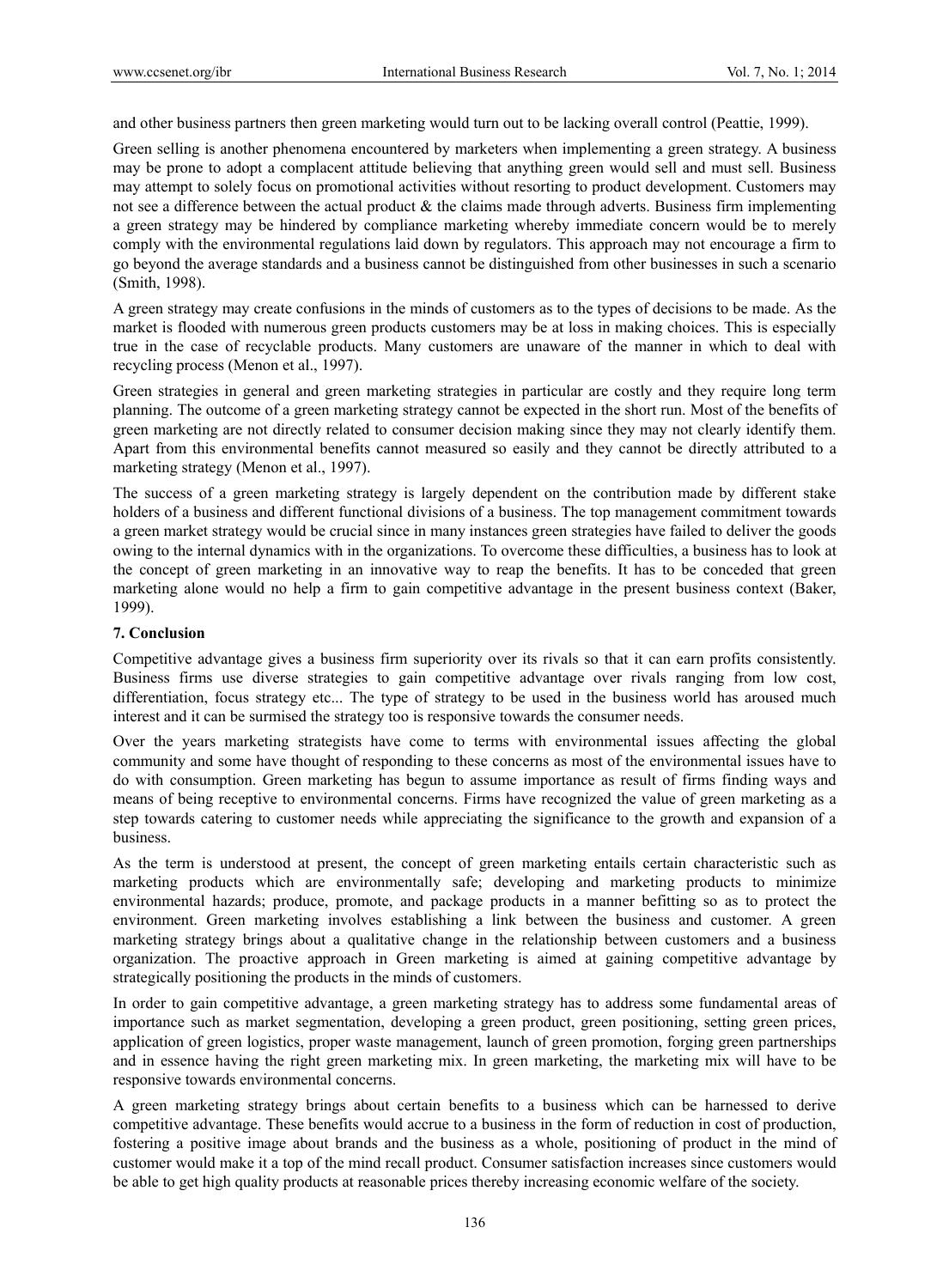and other business partners then green marketing would turn out to be lacking overall control (Peattie, 1999).

Green selling is another phenomena encountered by marketers when implementing a green strategy. A business may be prone to adopt a complacent attitude believing that anything green would sell and must sell. Business may attempt to solely focus on promotional activities without resorting to product development. Customers may not see a difference between the actual product  $\&$  the claims made through adverts. Business firm implementing a green strategy may be hindered by compliance marketing whereby immediate concern would be to merely comply with the environmental regulations laid down by regulators. This approach may not encourage a firm to go beyond the average standards and a business cannot be distinguished from other businesses in such a scenario (Smith, 1998).

A green strategy may create confusions in the minds of customers as to the types of decisions to be made. As the market is flooded with numerous green products customers may be at loss in making choices. This is especially true in the case of recyclable products. Many customers are unaware of the manner in which to deal with recycling process (Menon et al., 1997).

Green strategies in general and green marketing strategies in particular are costly and they require long term planning. The outcome of a green marketing strategy cannot be expected in the short run. Most of the benefits of green marketing are not directly related to consumer decision making since they may not clearly identify them. Apart from this environmental benefits cannot measured so easily and they cannot be directly attributed to a marketing strategy (Menon et al., 1997).

The success of a green marketing strategy is largely dependent on the contribution made by different stake holders of a business and different functional divisions of a business. The top management commitment towards a green market strategy would be crucial since in many instances green strategies have failed to deliver the goods owing to the internal dynamics with in the organizations. To overcome these difficulties, a business has to look at the concept of green marketing in an innovative way to reap the benefits. It has to be conceded that green marketing alone would no help a firm to gain competitive advantage in the present business context (Baker, 1999).

## **7. Conclusion**

Competitive advantage gives a business firm superiority over its rivals so that it can earn profits consistently. Business firms use diverse strategies to gain competitive advantage over rivals ranging from low cost, differentiation, focus strategy etc... The type of strategy to be used in the business world has aroused much interest and it can be surmised the strategy too is responsive towards the consumer needs.

Over the years marketing strategists have come to terms with environmental issues affecting the global community and some have thought of responding to these concerns as most of the environmental issues have to do with consumption. Green marketing has begun to assume importance as result of firms finding ways and means of being receptive to environmental concerns. Firms have recognized the value of green marketing as a step towards catering to customer needs while appreciating the significance to the growth and expansion of a business.

As the term is understood at present, the concept of green marketing entails certain characteristic such as marketing products which are environmentally safe; developing and marketing products to minimize environmental hazards; produce, promote, and package products in a manner befitting so as to protect the environment. Green marketing involves establishing a link between the business and customer. A green marketing strategy brings about a qualitative change in the relationship between customers and a business organization. The proactive approach in Green marketing is aimed at gaining competitive advantage by strategically positioning the products in the minds of customers.

In order to gain competitive advantage, a green marketing strategy has to address some fundamental areas of importance such as market segmentation, developing a green product, green positioning, setting green prices, application of green logistics, proper waste management, launch of green promotion, forging green partnerships and in essence having the right green marketing mix. In green marketing, the marketing mix will have to be responsive towards environmental concerns.

A green marketing strategy brings about certain benefits to a business which can be harnessed to derive competitive advantage. These benefits would accrue to a business in the form of reduction in cost of production, fostering a positive image about brands and the business as a whole, positioning of product in the mind of customer would make it a top of the mind recall product. Consumer satisfaction increases since customers would be able to get high quality products at reasonable prices thereby increasing economic welfare of the society.